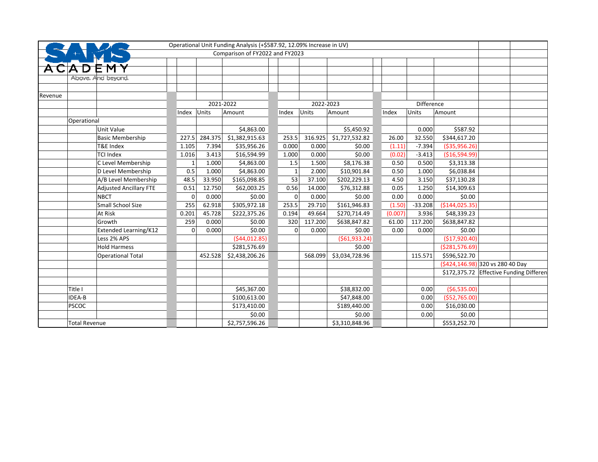|         |                      |                               |       |          |           | Operational Unit Funding Analysis (+\$587.92, 12.09% Increase in UV) |       |          |           |                 |         |                   |                                  |                                         |
|---------|----------------------|-------------------------------|-------|----------|-----------|----------------------------------------------------------------------|-------|----------|-----------|-----------------|---------|-------------------|----------------------------------|-----------------------------------------|
|         |                      |                               |       |          |           | Comparison of FY2022 and FY2023                                      |       |          |           |                 |         |                   |                                  |                                         |
|         |                      |                               |       |          |           |                                                                      |       |          |           |                 |         |                   |                                  |                                         |
|         |                      |                               |       |          |           |                                                                      |       |          |           |                 |         |                   |                                  |                                         |
|         |                      | Above. And beyond.            |       |          |           |                                                                      |       |          |           |                 |         |                   |                                  |                                         |
|         |                      |                               |       |          |           |                                                                      |       |          |           |                 |         |                   |                                  |                                         |
| Revenue |                      |                               |       |          |           |                                                                      |       |          |           |                 |         |                   |                                  |                                         |
|         |                      |                               |       |          | 2021-2022 |                                                                      |       |          | 2022-2023 |                 |         | <b>Difference</b> |                                  |                                         |
|         |                      |                               | Index | Units    |           | Amount                                                               | Index |          | Units     | Amount          | Index   | Units             | Amount                           |                                         |
|         | Operational          |                               |       |          |           |                                                                      |       |          |           |                 |         |                   |                                  |                                         |
|         |                      | Unit Value                    |       |          |           | \$4,863.00                                                           |       |          |           | \$5,450.92      |         | 0.000             | \$587.92                         |                                         |
|         |                      | <b>Basic Membership</b>       |       | 227.5    | 284.375   | \$1,382,915.63                                                       |       | 253.5    | 316.925   | \$1,727,532.82  | 26.00   | 32.550            | \$344,617.20                     |                                         |
|         |                      | T&E Index                     | 1.105 |          | 7.394     | \$35,956.26                                                          |       | 0.000    | 0.000     | \$0.00          | (1.11)  | $-7.394$          | ( \$35,956.26)                   |                                         |
|         |                      | <b>TCI Index</b>              | 1.016 |          | 3.413     | \$16,594.99                                                          |       | 1.000    | 0.000     | \$0.00          | (0.02)  | $-3.413$          | (\$16,594.99)                    |                                         |
|         |                      | C Level Membership            |       |          | 1.000     | \$4,863.00                                                           |       | 1.5      | 1.500     | \$8,176.38      | 0.50    | 0.500             | \$3,313.38                       |                                         |
|         |                      | D Level Membership            |       | 0.5      | 1.000     | \$4,863.00                                                           |       | 1        | 2.000     | \$10,901.84     | 0.50    | 1.000             | \$6,038.84                       |                                         |
|         |                      | A/B Level Membership          |       | 48.5     | 33.950    | \$165,098.85                                                         |       | 53       | 37.100    | \$202,229.13    | 4.50    | 3.150             | \$37,130.28                      |                                         |
|         |                      | <b>Adjusted Ancillary FTE</b> |       | 0.51     | 12.750    | \$62,003.25                                                          |       | 0.56     | 14.000    | \$76,312.88     | 0.05    | 1.250             | \$14,309.63                      |                                         |
|         |                      | <b>NBCT</b>                   |       | $\Omega$ | 0.000     | \$0.00                                                               |       | $\Omega$ | 0.000     | \$0.00          | 0.00    | 0.000             | \$0.00                           |                                         |
|         |                      | Small School Size             |       | 255      | 62.918    | \$305,972.18                                                         |       | 253.5    | 29.710    | \$161,946.83    | (1.50)  | $-33.208$         | ( \$144, 025.35)                 |                                         |
|         |                      | At Risk                       | 0.201 |          | 45.728    | \$222,375.26                                                         |       | 0.194    | 49.664    | \$270,714.49    | (0.007) | 3.936             | \$48,339.23                      |                                         |
|         |                      | Growth                        |       | 259      | 0.000     | \$0.00                                                               |       | 320      | 117.200   | \$638,847.82    | 61.00   | 117.200           | \$638,847.82                     |                                         |
|         |                      | Extended Learning/K12         |       | $\Omega$ | 0.000     | \$0.00                                                               |       | $\Omega$ | 0.000     | \$0.00          | 0.00    | 0.000             | \$0.00                           |                                         |
|         |                      | Less 2% APS                   |       |          |           | (544, 012.85)                                                        |       |          |           | ( \$61, 933.24) |         |                   | (\$17,920.40)                    |                                         |
|         |                      | <b>Hold Harmess</b>           |       |          |           | \$281,576.69                                                         |       |          |           | \$0.00          |         |                   | ( \$281, 576.69)                 |                                         |
|         |                      | <b>Operational Total</b>      |       |          | 452.528   | \$2,438,206.26                                                       |       |          | 568.099   | \$3,034,728.96  |         | 115.571           | \$596,522.70                     |                                         |
|         |                      |                               |       |          |           |                                                                      |       |          |           |                 |         |                   | (\$424,146.98) 320 vs 280 40 Day |                                         |
|         |                      |                               |       |          |           |                                                                      |       |          |           |                 |         |                   |                                  | \$172,375.72 Effective Funding Differer |
|         |                      |                               |       |          |           |                                                                      |       |          |           |                 |         |                   |                                  |                                         |
|         | Title I              |                               |       |          |           | \$45,367.00                                                          |       |          |           | \$38,832.00     |         | 0.00              | (56,535.00)                      |                                         |
|         | IDEA-B               |                               |       |          |           | \$100,613.00                                                         |       |          |           | \$47,848.00     |         | 0.00              | ( \$52,765.00)                   |                                         |
|         | <b>PSCOC</b>         |                               |       |          |           | \$173,410.00                                                         |       |          |           | \$189,440.00    |         | 0.00              | \$16,030.00                      |                                         |
|         |                      |                               |       |          |           | \$0.00                                                               |       |          |           | \$0.00          |         | 0.00              | \$0.00                           |                                         |
|         | <b>Total Revenue</b> |                               |       |          |           | \$2,757,596.26                                                       |       |          |           | \$3,310,848.96  |         |                   | \$553,252.70                     |                                         |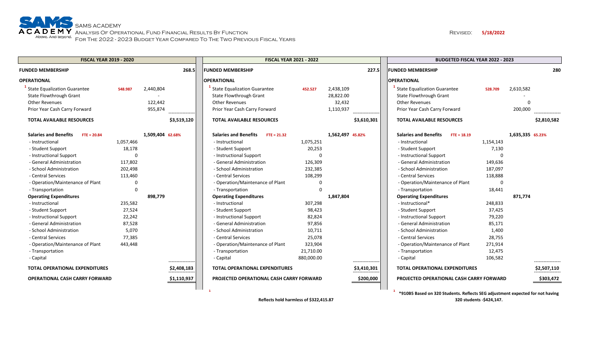### Revised: **5/18/2022**

| <b>FISCAL YEAR 2019 - 2020</b>                                 |           |                  |                  | <b>FISCAL YEAR 2021 - 2022</b>                                        |            |                        |                  | <b>BUDGETED FISCAL YEAR 2022 - 2023</b>                 |             |                  |  |
|----------------------------------------------------------------|-----------|------------------|------------------|-----------------------------------------------------------------------|------------|------------------------|------------------|---------------------------------------------------------|-------------|------------------|--|
| <b>FUNDED MEMBERSHIP</b>                                       |           |                  | 268.5            | <b>FUNDED MEMBERSHIP</b>                                              |            |                        | 227.5            | <b>FUNDED MEMBERSHIP</b>                                |             | 280              |  |
| <b>OPERATIONAL</b>                                             |           |                  |                  | <b>OPERATIONAL</b>                                                    |            |                        |                  | <b>OPERATIONAL</b>                                      |             |                  |  |
| <b>State Equalization Guarantee</b><br>State Flowthrough Grant | 548.987   | 2,440,804        |                  | <b>State Equalization Guarantee</b><br><b>State Flowthrough Grant</b> | 452.527    | 2,438,109<br>28,822.00 |                  | State Equalization Guarantee<br>State Flowthrough Grant | 528.709     | 2,610,582        |  |
| <b>Other Revenues</b>                                          |           | 122,442          |                  | <b>Other Revenues</b>                                                 |            | 32,432                 |                  | Other Revenues                                          |             | $\Omega$         |  |
| Prior Year Cash Carry Forward                                  |           | 955,874          |                  | Prior Year Cash Carry Forward                                         |            | 1,110,937              |                  | Prior Year Cash Carry Forward                           |             | 200,000          |  |
|                                                                |           |                  |                  |                                                                       |            |                        | .                |                                                         |             |                  |  |
| <b>TOTAL AVAILABLE RESOURCES</b>                               |           |                  | \$3,519,120      | <b>TOTAL AVAILABLE RESOURCES</b>                                      |            |                        | \$3,610,301      | <b>TOTAL AVAILABLE RESOURCES</b>                        |             | \$2,810,582      |  |
| <b>Salaries and Benefits</b><br>$FTE = 20.84$                  |           | 1,509,404 62.68% |                  | <b>Salaries and Benefits</b><br>$FTE = 21.32$                         |            | 1,562,497 45.82%       |                  | <b>Salaries and Benefits</b><br>$FTE = 18.19$           |             | 1,635,335 65.23% |  |
| - Instructional                                                | 1,057,466 |                  |                  | - Instructional                                                       | 1,075,251  |                        |                  | - Instructional                                         | 1,154,143   |                  |  |
| - Student Support                                              | 18,178    |                  |                  | - Student Support                                                     | 20,253     |                        |                  | - Student Support                                       | 7,130       |                  |  |
| - Instructional Support                                        | $\Omega$  |                  |                  | - Instructional Support                                               | റ          |                        |                  | - Instructional Support                                 |             |                  |  |
| - General Administration                                       | 117,802   |                  |                  | - General Administration                                              | 126,309    |                        |                  | - General Administration                                | 149,636     |                  |  |
| - School Administration                                        | 202,498   |                  |                  | - School Administration                                               | 232,385    |                        |                  | - School Administration                                 | 187,097     |                  |  |
| - Central Services                                             | 113,460   |                  |                  | - Central Services                                                    | 108,299    |                        |                  | - Central Services                                      | 118,888     |                  |  |
| - Operation/Maintenance of Plant                               | $\Omega$  |                  |                  | - Operation/Maintenance of Plant                                      | $\Omega$   |                        |                  | - Operation/Maintenance of Plant                        | $\Omega$    |                  |  |
| - Transportation                                               | 0         |                  |                  | - Transportation                                                      | $\Omega$   |                        |                  | - Transportation                                        | 18,441      |                  |  |
| <b>Operating Expenditures</b>                                  |           | 898,779          |                  | <b>Operating Expenditures</b>                                         |            | 1,847,804              |                  | <b>Operating Expenditures</b>                           |             | 871,774          |  |
| - Instructional                                                | 235,582   |                  |                  | - Instructional                                                       | 307,298    |                        |                  | - Instructional*                                        | 248,833     |                  |  |
| - Student Support                                              | 27,524    |                  |                  | - Student Support                                                     | 98,423     |                        |                  | - Student Support                                       | 37,425      |                  |  |
| - Instructional Support                                        | 22,242    |                  |                  | - Instructional Support                                               | 82,824     |                        |                  | - Instructional Support                                 | 79,220      |                  |  |
| - General Administration                                       | 87,528    |                  |                  | - General Administration                                              | 97,856     |                        |                  | - General Administration                                | 85,171      |                  |  |
| - School Administration                                        | 5,070     |                  |                  | - School Administration                                               | 10,711     |                        |                  | - School Administration                                 | 1,400       |                  |  |
| - Central Services                                             | 77,385    |                  |                  | - Central Services                                                    | 25,078     |                        |                  | - Central Services                                      | 28,755      |                  |  |
| - Operation/Maintenance of Plant                               | 443,448   |                  |                  | - Operation/Maintenance of Plant                                      | 323,904    |                        |                  | - Operation/Maintenance of Plant                        | 271,914     |                  |  |
| - Transportation                                               |           |                  |                  | - Transportation                                                      | 21,710.00  |                        |                  | - Transportation                                        | 12,475      |                  |  |
| - Capital                                                      |           |                  | ---------------- | - Capital                                                             | 880,000.00 |                        | ---------------- | - Capital                                               | 106,582     |                  |  |
| <b>TOTAL OPERATIONAL EXPENDITURES</b>                          |           |                  | \$2,408,183      | <b>TOTAL OPERATIONAL EXPENDITURES</b>                                 |            |                        | \$3,410,301      | <b>TOTAL OPERATIONAL EXPENDITURES</b>                   | \$2,507,110 |                  |  |
| <b>OPERATIONAL CASH CARRY FORWARD</b>                          |           |                  | \$1,110,937      | PROJECTED OPERATIONAL CASH CARRY FORWARD                              |            |                        | \$200,000        | PROJECTED OPERATIONAL CASH CARRY FORWARD                |             | \$303,472        |  |
|                                                                |           |                  |                  | $\mathbf{1}$                                                          |            |                        |                  | <b>ROADER</b> I  220 CL J  B. B. L  CEO  U.     I C  I  |             |                  |  |

**Reflects hold harmless of \$322,415.87**

**1 1 \*910B5 Based on 320 Students. Reflects SEG adjustment expected for not having 320 students ‐\$424,147.**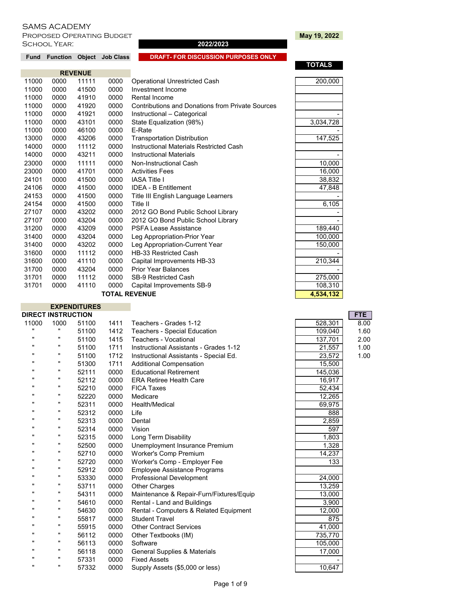I

PROPOSED OPERATING BUDGET **May 19, 2022**<br>SCHOOL YEAR: SCHOOL YEAR: SCHOOL YEAR:

# **TOTALS**

|       |      | <b>REVENUE</b> |      |                                                  |           |
|-------|------|----------------|------|--------------------------------------------------|-----------|
| 11000 | 0000 | 11111          | 0000 | <b>Operational Unrestricted Cash</b>             | 200,000   |
| 11000 | 0000 | 41500          | 0000 | Investment Income                                |           |
| 11000 | 0000 | 41910          | 0000 | Rental Income                                    |           |
| 11000 | 0000 | 41920          | 0000 | Contributions and Donations from Private Sources |           |
| 11000 | 0000 | 41921          | 0000 | Instructional - Categorical                      |           |
| 11000 | 0000 | 43101          | 0000 | State Equalization (98%)                         | 3,034,728 |
| 11000 | 0000 | 46100          | 0000 | E-Rate                                           |           |
| 13000 | 0000 | 43206          | 0000 | <b>Transportation Distribution</b>               | 147,525   |
| 14000 | 0000 | 11112          | 0000 | Instructional Materials Restricted Cash          |           |
| 14000 | 0000 | 43211          | 0000 | <b>Instructional Materials</b>                   |           |
| 23000 | 0000 | 11111          | 0000 | Non-Instructional Cash                           | 10,000    |
| 23000 | 0000 | 41701          | 0000 | <b>Activities Fees</b>                           | 16,000    |
| 24101 | 0000 | 41500          | 0000 | <b>IASA Title I</b>                              | 38,832    |
| 24106 | 0000 | 41500          | 0000 | <b>IDEA - B Entitlement</b>                      | 47,848    |
| 24153 | 0000 | 41500          | 0000 | Title III English Language Learners              |           |
| 24154 | 0000 | 41500          | 0000 | Title II                                         | 6,105     |
| 27107 | 0000 | 43202          | 0000 | 2012 GO Bond Public School Library               |           |
| 27107 | 0000 | 43204          | 0000 | 2012 GO Bond Public School Library               |           |
| 31200 | 0000 | 43209          | 0000 | <b>PSFA Lease Assistance</b>                     | 189,440   |
| 31400 | 0000 | 43204          | 0000 | Leg Appropriation-Prior Year                     | 100,000   |
| 31400 | 0000 | 43202          | 0000 | Leg Appropriation-Current Year                   | 150,000   |
| 31600 | 0000 | 11112          | 0000 | <b>HB-33 Restricted Cash</b>                     |           |
| 31600 | 0000 | 41110          | 0000 | Capital Improvements HB-33                       | 210,344   |
| 31700 | 0000 | 43204          | 0000 | <b>Prior Year Balances</b>                       |           |
| 31701 | 0000 | 11112          | 0000 | <b>SB-9 Restricted Cash</b>                      | 275,000   |
| 31701 | 0000 | 41110          | 0000 | Capital Improvements SB-9                        | 108,310   |
|       |      |                |      | <b>TOTAL REVENUE</b>                             | 4.534.132 |

Fund Function Object Job Class **DRAFT- FOR DISCUSSION PURPOSES ONLY** 

a.

|                | <b>EXPENDITURES</b>       |       |      |                                          |                     |            |
|----------------|---------------------------|-------|------|------------------------------------------|---------------------|------------|
|                | <b>DIRECT INSTRUCTION</b> |       |      |                                          |                     | <b>FTE</b> |
| 11000          | 1000                      | 51100 | 1411 | Teachers - Grades 1-12                   | 528,301             | 8.00       |
| $\blacksquare$ | Ħ                         | 51100 | 1412 | Teachers - Special Education             | 109,040             | 1.60       |
| $\blacksquare$ | "                         | 51100 | 1415 | <b>Teachers - Vocational</b>             | 137,701             | 2.00       |
|                | "                         | 51100 | 1711 | Instructional Assistants - Grades 1-12   | 21,557              | 1.00       |
|                |                           | 51100 | 1712 | Instructional Assistants - Special Ed.   | 23,572              | 1.00       |
|                | "                         | 51300 | 1711 | <b>Additional Compensation</b>           | 15,500              |            |
|                | "                         | 52111 | 0000 | <b>Educational Retirement</b>            | 145,036             |            |
|                | "                         | 52112 | 0000 | <b>ERA Retiree Health Care</b>           | 16,917              |            |
|                |                           | 52210 | 0000 | <b>FICA Taxes</b>                        | 52,434              |            |
|                | $\pmb{\mathsf{u}}$        | 52220 | 0000 | Medicare                                 | 12,265              |            |
| $\mathbf{u}$   | "                         | 52311 | 0000 | Health/Medical                           | 69,975              |            |
|                | "                         | 52312 | 0000 | Life                                     | 888                 |            |
| "              | "                         | 52313 | 0000 | Dental                                   | 2,859               |            |
| $\mathbf{u}$   | "                         | 52314 | 0000 | Vision                                   | 597                 |            |
|                | "                         | 52315 | 0000 | Long Term Disability                     | 1,803               |            |
|                | "                         | 52500 | 0000 | Unemployment Insurance Premium           | 1,328               |            |
|                |                           | 52710 | 0000 | Worker's Comp Premium                    | 14,237              |            |
| $\blacksquare$ |                           | 52720 | 0000 | Worker's Comp - Employer Fee             | 133                 |            |
|                | "                         | 52912 | 0000 | <b>Employee Assistance Programs</b>      |                     |            |
|                | "                         | 53330 | 0000 | <b>Professional Development</b>          | 24,000              |            |
|                | "                         | 53711 | 0000 | <b>Other Charges</b>                     | 13,259              |            |
| $\mathbf{u}$   | "                         | 54311 | 0000 | Maintenance & Repair-Furn/Fixtures/Equip | 13,000              |            |
|                | "                         | 54610 | 0000 | Rental - Land and Buildings              | 3,900               |            |
|                | "                         | 54630 | 0000 | Rental - Computers & Related Equipment   | $\overline{12,000}$ |            |
|                | "                         | 55817 | 0000 | <b>Student Travel</b>                    | 875                 |            |
| $\blacksquare$ |                           | 55915 | 0000 | <b>Other Contract Services</b>           | 41,000              |            |
| $\blacksquare$ |                           | 56112 | 0000 | Other Textbooks (IM)                     | 735,770             |            |
|                | "                         | 56113 | 0000 | Software                                 | 105,000             |            |
|                | "                         | 56118 | 0000 | <b>General Supplies &amp; Materials</b>  | 17,000              |            |
|                | "                         | 57331 | 0000 | <b>Fixed Assets</b>                      |                     |            |
| "              | $\pmb{\mathsf{u}}$        | 57332 | 0000 | Supply Assets (\$5,000 or less)          | 10,647              |            |
|                |                           |       |      |                                          |                     |            |

|                     | <b>FT</b>      |
|---------------------|----------------|
| 528,301             | $\overline{8}$ |
| 109,040             | $\mathbf 1$    |
| 137,701             | $\overline{2}$ |
| $\overline{2}1,557$ | $\mathbf{1}$   |
| 23,572              | $\mathbf 1$    |
| 15,500              |                |
| 145,036             |                |
| 16,917              |                |
| 52,434              |                |
| 12,265              |                |
| 69,975              |                |
| 888                 |                |
| 2,859               |                |
| 597                 |                |
| 1,803               |                |
| 1,328               |                |
| 14,237              |                |
| 133                 |                |
| 24,000              |                |
| 13,259              |                |
| 13,000              |                |
| 3,900               |                |
| 12,000              |                |
| 875                 |                |
| 41,000              |                |
| 735,770             |                |
| 105,000             |                |
| 17,000              |                |
|                     |                |
| 10.647              |                |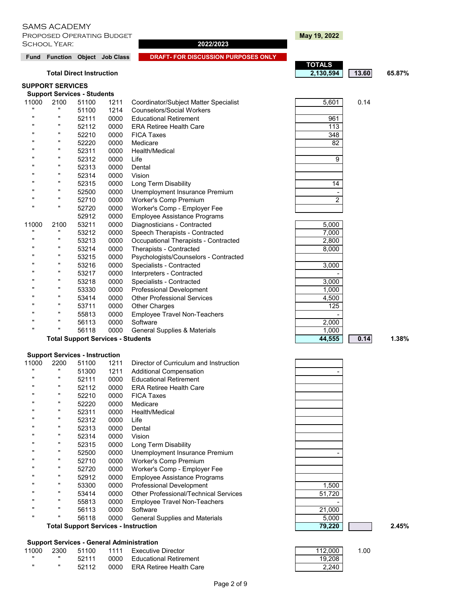**PROPOSED OPERATING BUDGET AND RESIDENT MAY 19, 2022** School Year: **2022/2023**

Fund Function Object Job Class **DRAFT- FOR DISCUSSION PURPOSES ONLY** 

### **SUPPORT SERVICES**

### **Support Services - Students** 11000 2100 51100 1211 Coordinator/Subject Matter Specialist 5 5,601 0.14 " 51100 1214 Counselors/Social Workers<br>" 50114 0000 Educational Definement 52111 0000 Educational Retirement " " 52112 0000 ERA Retiree Health Care " " 52210 0000 FICA Taxes 348 " " 52220 0000 Medicare " " 82 52311 0000 Health/Medical " " 52312 0000 Life 9 52313 0000 Dental 52314 0000 Vision 52315 0000 Long Term Disability " 52500 0000 Unemployment Insurance Premium<br>" 52740 0000 Westerly Come Premium " 52710 0000 Worker's Comp Premium<br>"20700 0000 Workerto Comp Employ 52720 0000 Worker's Comp - Employer Fee<br>52912 0000 Employee Assistance Programs 52912 0000 Employee Assistance Programs 11000 2100 53211 0000 Diagnosticians - Contracted " 53212 0000 Speech Therapists - Contracted<br>" 53212 0000 Occupational Therapists Centra " 53213 0000 Occupational Therapists - Contracted<br>" 53214 0000 Therapists Contracted " 53214 0000 Therapists - Contracted<br>" 53215 0000 Boychologists/Councele 53215 0000 Psychologists/Counselors - Contracted " " 53216 0000 Specialists - Contracted " 53217 0000 Interpreters - Contracted<br>" 52218 0000 Specialists Contracted 53218 0000 Specialists - Contracted " 53330 0000 Professional Development<br>" 53444 0000 Other Professional Service 53414 0000 Other Professional Services 53711 0000 Other Charges 55813 0000 Employee Travel Non-Teachers " " 56113 0000 Software 2,000 56118 0000 General Supplies & Materials

# Total Support Services - Students **1.38% 1.38%**

### **Support Services - Instruction**

| 11000        | 2200         | 51100 | 1211 | Director of Curriculum and Instruction       |        |       |
|--------------|--------------|-------|------|----------------------------------------------|--------|-------|
|              |              | 51300 | 1211 | <b>Additional Compensation</b>               |        |       |
|              | $\mathbf{u}$ | 52111 | 0000 | <b>Educational Retirement</b>                |        |       |
|              | $\mathbf{u}$ | 52112 | 0000 | <b>ERA Retiree Health Care</b>               |        |       |
|              | $\mathbf{u}$ | 52210 | 0000 | <b>FICA Taxes</b>                            |        |       |
|              | π            | 52220 | 0000 | Medicare                                     |        |       |
|              | $\mathbf{u}$ | 52311 | 0000 | Health/Medical                               |        |       |
|              |              | 52312 | 0000 | Life                                         |        |       |
|              | $\mathbf{u}$ | 52313 | 0000 | Dental                                       |        |       |
|              | $\mathbf{u}$ | 52314 | 0000 | Vision                                       |        |       |
|              | π            | 52315 | 0000 | Long Term Disability                         |        |       |
|              |              | 52500 | 0000 | Unemployment Insurance Premium               |        |       |
|              | Ш            | 52710 | 0000 | Worker's Comp Premium                        |        |       |
|              | $\mathbf{u}$ | 52720 | 0000 | Worker's Comp - Employer Fee                 |        |       |
|              | $\mathbf{u}$ | 52912 | 0000 | <b>Employee Assistance Programs</b>          |        |       |
|              | $\mathbf{u}$ | 53300 | 0000 | <b>Professional Development</b>              | 1,500  |       |
|              | Ш            | 53414 | 0000 | <b>Other Professional/Technical Services</b> | 51,720 |       |
|              |              | 55813 | 0000 | Employee Travel Non-Teachers                 |        |       |
|              | $\mathbf{u}$ | 56113 | 0000 | Software                                     | 21,000 |       |
| $\mathbf{u}$ | $\mathbf{u}$ | 56118 | 0000 | <b>General Supplies and Materials</b>        | 5,000  |       |
|              |              |       |      | <b>Total Support Services - Instruction</b>  | 79,220 | 2.45% |

| 11000 | 2300 | 51100 |      | 1111 Executive Director | 112,000 | 1.00 |
|-------|------|-------|------|-------------------------|---------|------|
|       |      | 52111 | 0000 | Educational Retirement  | 19.208  |      |
|       |      | 52112 | 0000 | ERA Retiree Health Care | 2.240   |      |

| May 19, 2 |
|-----------|
|-----------|

|                                 | <b>TOTALS</b> |       |        |
|---------------------------------|---------------|-------|--------|
| <b>Total Direct Instruction</b> | 2,130,594     | 13.60 | 65.87% |

| 961              |  |
|------------------|--|
| $\overline{113}$ |  |
| 348              |  |
| $\overline{82}$  |  |
|                  |  |
| 9                |  |
|                  |  |
|                  |  |
| 14               |  |
|                  |  |
| $\overline{2}$   |  |
|                  |  |
|                  |  |
| 5,000            |  |
| 7,000            |  |
| 2,800            |  |
| 8,000            |  |
|                  |  |
| 3,000            |  |
|                  |  |

| 7,000 |  |
|-------|--|
| 2,800 |  |
| 8,000 |  |
|       |  |
| 3,000 |  |
|       |  |
| 3,000 |  |
| 1,000 |  |
| 4,500 |  |
| 125   |  |
|       |  |
| 2,000 |  |
| 1,000 |  |
| 4 A   |  |

| 1,500  |  |
|--------|--|
| 51,720 |  |
|        |  |
|        |  |
| 21,000 |  |
| 5,000  |  |
| 79,220 |  |
|        |  |

| 112,000 |  |
|---------|--|
| 19,208  |  |
| 2.240   |  |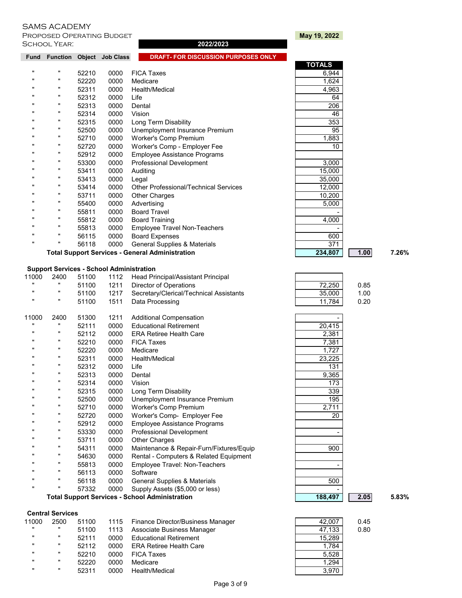PROPOSED OPERATING BUDGET **May 19, 2022**<br>SCHOOL YEAR: **May 19, 2022** SCHOOL YEAR:

| Fund               |                      |       | Function Object Job Class                       | <b>DRAFT- FOR DISCUSSION PURPOSES ONLY</b>             |               |      |       |
|--------------------|----------------------|-------|-------------------------------------------------|--------------------------------------------------------|---------------|------|-------|
|                    |                      |       |                                                 |                                                        | <b>TOTALS</b> |      |       |
| $\mathbf{u}$       | $\pmb{\mathsf{u}}$   | 52210 | 0000                                            | <b>FICA Taxes</b>                                      | 6,944         |      |       |
| "                  |                      | 52220 | 0000                                            | Medicare                                               | 1,624         |      |       |
| $\mathbf{u}$       | $\pmb{\mathfrak{m}}$ | 52311 | 0000                                            | Health/Medical                                         | 4,963         |      |       |
| $\mathbf{u}$       | $\mathbf{u}$         | 52312 | 0000                                            | Life                                                   | 64            |      |       |
| "                  | $\pmb{\mathfrak{m}}$ | 52313 | 0000                                            | Dental                                                 | 206           |      |       |
| $\mathbf{u}$       | $\mathbf{u}$         | 52314 | 0000                                            | Vision                                                 | 46            |      |       |
|                    | $\pmb{\mathfrak{m}}$ | 52315 | 0000                                            | Long Term Disability                                   | 353           |      |       |
| "                  | $\pmb{\mathfrak{m}}$ | 52500 | 0000                                            | Unemployment Insurance Premium                         | 95            |      |       |
| "                  |                      | 52710 | 0000                                            | <b>Worker's Comp Premium</b>                           | 1,883         |      |       |
|                    | $\pmb{\mathfrak{m}}$ | 52720 | 0000                                            | Worker's Comp - Employer Fee                           | 10            |      |       |
| $\mathbf{u}$       |                      | 52912 | 0000                                            | <b>Employee Assistance Programs</b>                    |               |      |       |
| $\mathbf{u}$       | $\mathbf{u}$         | 53300 | 0000                                            | <b>Professional Development</b>                        | 3,000         |      |       |
| $\mathbf{u}$       |                      | 53411 | 0000                                            | Auditing                                               | 15,000        |      |       |
| $\mathbf{u}$       | $\pmb{\mathfrak{m}}$ | 53413 | 0000                                            | Legal                                                  | 35,000        |      |       |
| "                  | $\pmb{\mathsf{u}}$   | 53414 | 0000                                            | <b>Other Professional/Technical Services</b>           | 12,000        |      |       |
| $\mathbf{u}$       |                      | 53711 | 0000                                            | <b>Other Charges</b>                                   | 10,200        |      |       |
| $\mathbf{u}$       |                      | 55400 | 0000                                            | Advertising                                            | 5,000         |      |       |
| "                  |                      | 55811 | 0000                                            | <b>Board Travel</b>                                    |               |      |       |
| $\mathbf{u}$       |                      | 55812 | 0000                                            | <b>Board Training</b>                                  | 4,000         |      |       |
| $\mathbf{u}$       | $\pmb{\mathfrak{m}}$ | 55813 | 0000                                            | <b>Employee Travel Non-Teachers</b>                    |               |      |       |
|                    | $\mathbf{u}$         | 56115 | 0000                                            | <b>Board Expenses</b>                                  | 600           |      |       |
| $\pmb{\mathsf{u}}$ | $\pmb{\mathsf{u}}$   | 56118 | 0000                                            | <b>General Supplies &amp; Materials</b>                | 371           |      |       |
|                    |                      |       |                                                 | <b>Total Support Services - General Administration</b> | 234,807       | 1.00 | 7.26% |
|                    |                      |       | <b>Support Services - School Administration</b> |                                                        |               |      |       |
| 11000              | 2400                 | 51100 | 1112                                            | Head Principal/Assistant Principal                     |               |      |       |
| $\mathbf{u}$       | $\mathbf{u}$         | 51100 | 1211                                            | Director of Operations                                 | 72.250        | 0.85 |       |

| $\mathbf{u}$ | $\pmb{\mathsf{u}}$                                    | 51100 | 1211 | Director of Operations                   | 72,250 | 0.85 |       |
|--------------|-------------------------------------------------------|-------|------|------------------------------------------|--------|------|-------|
|              | π                                                     | 51100 | 1217 | Secretary/Clerical/Technical Assistants  | 35,000 | 1.00 |       |
| $\mathbf{u}$ | π                                                     | 51100 | 1511 | Data Processing                          | 11,784 | 0.20 |       |
| 11000        | 2400                                                  | 51300 | 1211 | <b>Additional Compensation</b>           |        |      |       |
|              |                                                       | 52111 | 0000 | <b>Educational Retirement</b>            | 20,415 |      |       |
|              | π                                                     | 52112 | 0000 | <b>ERA Retiree Health Care</b>           | 2,381  |      |       |
|              | "                                                     | 52210 | 0000 | <b>FICA Taxes</b>                        | 7,381  |      |       |
|              | п                                                     | 52220 | 0000 | Medicare                                 | 1,727  |      |       |
|              | п                                                     | 52311 | 0000 | Health/Medical                           | 23,225 |      |       |
|              | π                                                     | 52312 | 0000 | Life                                     | 131    |      |       |
|              | "                                                     | 52313 | 0000 | Dental                                   | 9,365  |      |       |
|              | $\mathbf{u}$                                          | 52314 | 0000 | Vision                                   | 173    |      |       |
|              | п                                                     | 52315 | 0000 | Long Term Disability                     | 339    |      |       |
|              | "                                                     | 52500 | 0000 | Unemployment Insurance Premium           | 195    |      |       |
|              | "                                                     | 52710 | 0000 | Worker's Comp Premium                    | 2,711  |      |       |
|              | π                                                     | 52720 | 0000 | Worker's Comp- Employer Fee              | 20     |      |       |
|              | "                                                     | 52912 | 0000 | <b>Employee Assistance Programs</b>      |        |      |       |
|              | $\mathbf{u}$                                          | 53330 | 0000 | Professional Development                 |        |      |       |
|              | "                                                     | 53711 | 0000 | <b>Other Charges</b>                     |        |      |       |
|              | "                                                     | 54311 | 0000 | Maintenance & Repair-Furn/Fixtures/Equip | 900    |      |       |
|              | "                                                     | 54630 | 0000 | Rental - Computers & Related Equipment   |        |      |       |
|              | "                                                     | 55813 | 0000 | Employee Travel: Non-Teachers            |        |      |       |
|              | "                                                     | 56113 | 0000 | Software                                 |        |      |       |
|              | "                                                     | 56118 | 0000 | General Supplies & Materials             | 500    |      |       |
|              | "                                                     | 57332 | 0000 | Supply Assets (\$5,000 or less)          |        |      |       |
|              | <b>Total Support Services - School Administration</b> |       |      |                                          |        | 2.05 | 5.83% |

### **Central Services**

| 11000        | 2500 | 51100 |      | 1115 Finance Director/Business Manager | 42.007 | 0.45 |
|--------------|------|-------|------|----------------------------------------|--------|------|
| $\mathbf{u}$ |      | 51100 | 1113 | Associate Business Manager             | 47.133 | 0.80 |
| $\mathbf{u}$ |      | 52111 | 0000 | <b>Educational Retirement</b>          | 15.289 |      |
| $\mathbf{u}$ |      | 52112 | 0000 | <b>ERA Retiree Health Care</b>         | 1.784  |      |
| $\mathbf{u}$ |      | 52210 | 0000 | <b>FICA Taxes</b>                      | 5.528  |      |
| $\mathbf{u}$ |      | 52220 | 0000 | Medicare                               | 1.294  |      |
|              |      | 52311 | 0000 | Health/Medical                         | 3,970  |      |

| <b>TOTALS</b> |      |
|---------------|------|
| 6,944         |      |
| 1,624         |      |
| 4,963         |      |
| 64            |      |
| 206           |      |
| 46            |      |
| 353           |      |
| 95            |      |
| 1,883         |      |
| 10            |      |
|               |      |
| 3,000         |      |
| 15,000        |      |
| 35,000        |      |
| 12,000        |      |
| 10,200        |      |
| 5,000         |      |
|               |      |
| 4,000         |      |
|               |      |
| 600           |      |
| 371           |      |
| 234,807       | 1.00 |
|               |      |
|               |      |
| 72,250        | 0.85 |
| 35,000        | 1.00 |
| 11,784        | 0.20 |
|               |      |
|               |      |

| ∪ں ∠,ے ا | ບ.ບປ |
|----------|------|
| 35,000   | 1.00 |
| 11,784   | 0.20 |
|          |      |
|          |      |
| 20,415   |      |
| 2,381    |      |
| 7.381    |      |
| 1,727    |      |
| 23,225   |      |
| 131      |      |
| 9.365    |      |

| u.uJ |  |
|------|--|
| 1.00 |  |
| 0.20 |  |
|      |  |
|      |  |

| 20,415                      |  |
|-----------------------------|--|
| 2,381                       |  |
| 7,381                       |  |
| 1,727                       |  |
| 23,225                      |  |
| 131                         |  |
| 9,365                       |  |
| 173                         |  |
| 339                         |  |
| 195                         |  |
| 2,711                       |  |
| 20                          |  |
|                             |  |
|                             |  |
|                             |  |
| 900                         |  |
|                             |  |
|                             |  |
|                             |  |
| 500                         |  |
|                             |  |
| 400.<br>$\overline{a}$<br>7 |  |

| 42,007 | 0.4 |
|--------|-----|
| 47,133 | 0.8 |
| 15,289 |     |
| 1,784  |     |
| 5,528  |     |
| 1,294  |     |
| 3.970  |     |
|        |     |

Page 3 of 9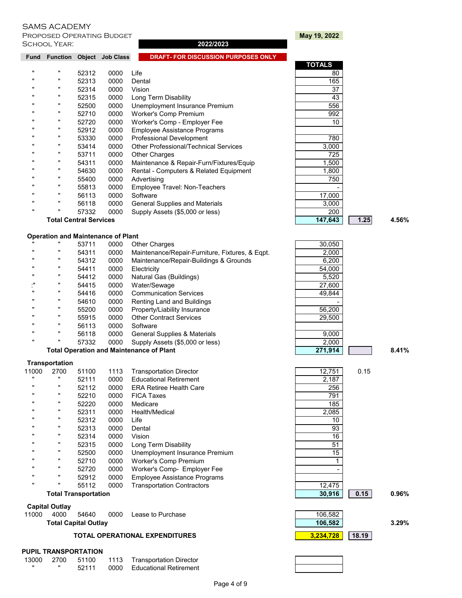**PROPOSED OPERATING BUDGET AND RESIDENT MAY 19, 2022** School Year: **2022/2023**

| <b>Fund</b>  | <b>Function</b>                           |       | <b>Object</b> Job Class | <b>DRAFT-FOR DISCUSSION PURPOSES ONLY</b>    |               |      |       |
|--------------|-------------------------------------------|-------|-------------------------|----------------------------------------------|---------------|------|-------|
|              |                                           |       |                         |                                              | <b>TOTALS</b> |      |       |
| $\mathbf{u}$ | $\pmb{\mathsf{u}}$                        | 52312 | 0000                    | Life                                         | 80            |      |       |
| $\mathbf{u}$ |                                           | 52313 | 0000                    | Dental                                       | 165           |      |       |
| $\mathbf{u}$ |                                           | 52314 | 0000                    | Vision                                       | 37            |      |       |
|              |                                           | 52315 | 0000                    | Long Term Disability                         | 43            |      |       |
| $\mathbf{u}$ |                                           | 52500 | 0000                    | Unemployment Insurance Premium               | 556           |      |       |
| $\mathbf{u}$ |                                           | 52710 | 0000                    | Worker's Comp Premium                        | 992           |      |       |
| $\mathbf{u}$ | п                                         | 52720 | 0000                    | Worker's Comp - Employer Fee                 | 10            |      |       |
| $\mathbf{u}$ |                                           | 52912 | 0000                    | <b>Employee Assistance Programs</b>          |               |      |       |
| $\mathbf{u}$ |                                           | 53330 | 0000                    | <b>Professional Development</b>              | 780           |      |       |
| $\mathbf{u}$ |                                           | 53414 | 0000                    | <b>Other Professional/Technical Services</b> | 3,000         |      |       |
|              |                                           | 53711 | 0000                    | <b>Other Charges</b>                         | 725           |      |       |
| "            |                                           | 54311 | 0000                    | Maintenance & Repair-Furn/Fixtures/Equip     | 1,500         |      |       |
| $\mathbf{u}$ |                                           | 54630 | 0000                    | Rental - Computers & Related Equipment       | 1,800         |      |       |
| $\mathbf{u}$ |                                           | 55400 | 0000                    | Advertising                                  | 750           |      |       |
| $\mathbf{u}$ |                                           | 55813 | 0000                    | Employee Travel: Non-Teachers                |               |      |       |
|              | $\pmb{\mathsf{u}}$                        | 56113 | 0000                    | Software                                     | 17,000        |      |       |
|              |                                           | 56118 | 0000                    | General Supplies and Materials               | 3,000         |      |       |
| $\mathbf{u}$ |                                           | 57332 | 0000                    | Supply Assets (\$5,000 or less)              | 200           |      |       |
|              | <b>Total Central Services</b>             |       |                         |                                              | 147,643       | 1.25 | 4.56% |
|              | <b>Operation and Maintenance of Plant</b> |       |                         |                                              |               |      |       |

| $\mathbf{u}$ | 53711 | 0000 | <b>Other Charges</b>                            | 30,050 |
|--------------|-------|------|-------------------------------------------------|--------|
| $\mathbf{u}$ | 54311 | 0000 | Maintenance/Repair-Furniture, Fixtures, & Egpt. | 2,000  |
| $\mathbf{u}$ | 54312 | 0000 | Maintenance/Repair-Buildings & Grounds          | 6,200  |
| $\mathbf{u}$ | 54411 | 0000 | Electricity                                     | 54,000 |
| $\mathbf{u}$ | 54412 | 0000 | Natural Gas (Buildings)                         | 5,520  |
| ., 11        | 54415 | 0000 | Water/Sewage                                    | 27,600 |
| $\mathbf{u}$ | 54416 | 0000 | <b>Communication Services</b>                   | 49,844 |
| $\mathbf{u}$ | 54610 | 0000 | Renting Land and Buildings                      |        |
| $\mathbf{u}$ | 55200 | 0000 | Property/Liability Insurance                    | 56,200 |
| $\mathbf{u}$ | 55915 | 0000 | <b>Other Contract Services</b>                  | 29,500 |
| $\mathbf{u}$ | 56113 | 0000 | Software                                        |        |
| $\mathbf{u}$ | 56118 | 0000 | General Supplies & Materials                    | 9,000  |
| $\mathbf{u}$ | 57332 | 0000 | Supply Assets (\$5,000 or less)                 | 2,000  |

### **Transportation**

| 11000        | 2700               | 51100 | 1113 | <b>Transportation Director</b>      | 12.751 | 0.15 |
|--------------|--------------------|-------|------|-------------------------------------|--------|------|
|              | "                  | 52111 | 0000 | <b>Educational Retirement</b>       | 2,187  |      |
| $\mathbf{u}$ |                    | 52112 | 0000 | <b>ERA Retiree Health Care</b>      | 256    |      |
| $\mathbf{u}$ |                    | 52210 | 0000 | <b>FICA Taxes</b>                   | 791    |      |
| $\mathbf{u}$ |                    | 52220 | 0000 | Medicare                            | 185    |      |
| $\mathbf{u}$ |                    | 52311 | 0000 | Health/Medical                      | 2,085  |      |
| $\mathbf{u}$ |                    | 52312 | 0000 | Life                                | 10     |      |
| $\mathbf{u}$ |                    | 52313 | 0000 | Dental                              | 93     |      |
|              |                    | 52314 | 0000 | Vision                              | 16     |      |
| $\mathbf{u}$ |                    | 52315 | 0000 | Long Term Disability                | 51     |      |
| $\mathbf{u}$ |                    | 52500 | 0000 | Unemployment Insurance Premium      | 15     |      |
| $\mathbf{u}$ |                    | 52710 | 0000 | Worker's Comp Premium               |        |      |
| $\mathbf{u}$ |                    | 52720 | 0000 | Worker's Comp- Employer Fee         |        |      |
| $\mathbf{u}$ |                    | 52912 | 0000 | <b>Employee Assistance Programs</b> |        |      |
|              | $\pmb{\mathsf{u}}$ | 55112 | 0000 | <b>Transportation Contractors</b>   | 12.475 |      |

### **Capital Outlay**

|       |      | <b>Total Capital Outlay</b> |      |                   | 106.582 | 3.29% |
|-------|------|-----------------------------|------|-------------------|---------|-------|
| 11000 | 4000 | 54640                       | 0000 | Lease to Purchase | 106.582 |       |

# **TOTAL OPERATIONAL EXPENDITURES 18.19**

### **PUPIL TRANSPORTATION**

|  | 13000 2700 51100 | 1113 Transportation Director |
|--|------------------|------------------------------|
|  | 52111            | 0000 Educational Retirement  |

|                    |                               |      |                                                 | .               |       |
|--------------------|-------------------------------|------|-------------------------------------------------|-----------------|-------|
| $\pmb{\mathsf{u}}$ | 54311                         | 0000 | Maintenance & Repair-Furn/Fixtures/Equip        | 1,500           |       |
| $\mathbf{u}$       | 54630                         | 0000 | Rental - Computers & Related Equipment          | 1,800           |       |
| $\mathbf{u}$       | 55400                         | 0000 | Advertising                                     | 750             |       |
| $\mathbf{u}$       | 55813                         | 0000 | Employee Travel: Non-Teachers                   |                 |       |
| $\mathbf{u}$       | 56113                         | 0000 | Software                                        | 17,000          |       |
| $\mathbf{u}$       | 56118                         | 0000 | General Supplies and Materials                  | 3,000           |       |
| $\mathbf{u}$       | 57332                         | 0000 | Supply Assets (\$5,000 or less)                 | 200             |       |
|                    | <b>Total Central Services</b> |      |                                                 | 147,643<br>1.25 | 4.56% |
|                    | tion and Maintenance of Plant |      |                                                 |                 |       |
|                    | 53711                         | 0000 | <b>Other Charges</b>                            | 30,050          |       |
| π                  | 54311                         | 0000 | Maintenance/Repair-Furniture, Fixtures, & Eqpt. | 2,000           |       |
| $\mathbf{u}$       | 54312                         | 0000 | Maintenance/Repair-Buildings & Grounds          | 6,200           |       |
| $\mathbf{u}$       | 54411                         | 0000 | Electricity                                     | 54,000          |       |
|                    | 54412                         | 0000 | Natural Gas (Buildings)                         | 5,520           |       |
| $\mathbf{u}$       | 54415                         | 0000 | Water/Sewage                                    | 27,600          |       |
|                    | 54416                         | 0000 | <b>Communication Services</b>                   | 49,844          |       |
| $\mathbf{u}$       | 54610                         | 0000 | Renting Land and Buildings                      |                 |       |
| $\mathbf{u}$       | 55200                         | 0000 | Property/Liability Insurance                    | 56,200          |       |
| π                  | 55915                         | 0000 | <b>Other Contract Services</b>                  | 29,500          |       |
| π                  | 56113                         | 0000 | Software                                        |                 |       |
| $\mathbf{u}$       | 56118                         | 0000 | General Supplies & Materials                    | 9,000           |       |
|                    | 57332                         | 0000 | Supply Assets (\$5,000 or less)                 | 2,000           |       |
|                    |                               |      | <b>Total Operation and Maintenance of Plant</b> | 271,914         | 8.41% |
|                    |                               |      |                                                 |                 |       |

**Total Transportation 30,916 0.15 0.96%**

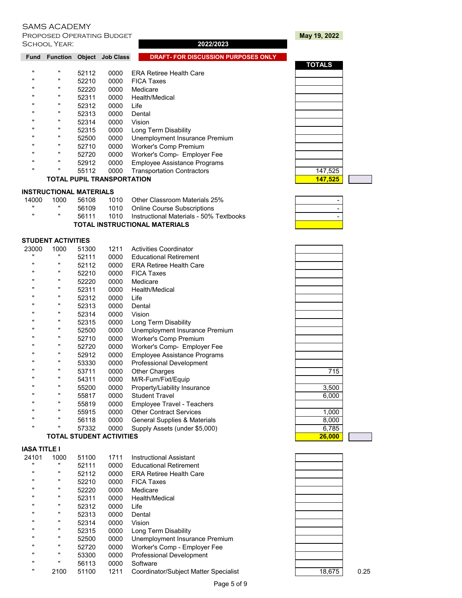PROPOSED OPERATING BUDGET **May 19, 2022**<br>SCHOOL YEAR: Note of May 19, 2022 2022 2022 2023 SCHOOL YEAR:

| <b>Fund</b>  | <b>Function</b> | Object | <b>Job Class</b>                  | <b>DRAFT-FOR DISCUSSION PURPOSES ONLY</b> |               |
|--------------|-----------------|--------|-----------------------------------|-------------------------------------------|---------------|
|              |                 |        |                                   |                                           | <b>TOTALS</b> |
| $\mathbf{u}$ |                 | 52112  | 0000                              | <b>ERA Retiree Health Care</b>            |               |
|              |                 | 52210  | 0000                              | <b>FICA Taxes</b>                         |               |
|              |                 | 52220  | 0000                              | Medicare                                  |               |
| "            |                 | 52311  | 0000                              | Health/Medical                            |               |
|              |                 | 52312  | 0000                              | Life                                      |               |
|              |                 | 52313  | 0000                              | Dental                                    |               |
|              |                 | 52314  | 0000                              | Vision                                    |               |
|              |                 | 52315  | 0000                              | Long Term Disability                      |               |
| $\mathbf{u}$ |                 | 52500  | 0000                              | Unemployment Insurance Premium            |               |
| "            |                 | 52710  | 0000                              | Worker's Comp Premium                     |               |
|              |                 | 52720  | 0000                              | Worker's Comp- Employer Fee               |               |
|              |                 | 52912  | 0000                              | <b>Employee Assistance Programs</b>       |               |
| $\mathbf{u}$ |                 | 55112  | 0000                              | <b>Transportation Contractors</b>         | 147,525       |
|              |                 |        | <b>TOTAL PUPIL TRANSPORTATION</b> |                                           | 147.525       |

# **TOTALS**

| INSTRUCTIONAL MATERIALS |
|-------------------------|
|-------------------------|

| 14000        | 1000         | 56108 |      | 1010 Other Classroom Materials 25%      |  |
|--------------|--------------|-------|------|-----------------------------------------|--|
| $\mathbf{u}$ | $\mathbf{u}$ | 56109 |      | 1010 Online Course Subscriptions        |  |
|              |              | 56111 | 1010 | Instructional Materials - 50% Textbooks |  |
|              |              |       |      | <b>TOTAL INSTRUCTIONAL MATERIALS</b>    |  |

### **STUDENT ACTIVITIES**

| 23000          | 1000         | 51300 | 1211 | <b>Activities Coordinator</b>           |         |     |
|----------------|--------------|-------|------|-----------------------------------------|---------|-----|
| $\blacksquare$ |              | 52111 | 0000 | <b>Educational Retirement</b>           |         |     |
| "              |              | 52112 | 0000 | <b>ERA Retiree Health Care</b>          |         |     |
|                |              | 52210 | 0000 | <b>FICA Taxes</b>                       |         |     |
|                |              | 52220 | 0000 | Medicare                                |         |     |
|                |              | 52311 | 0000 | Health/Medical                          |         |     |
|                |              | 52312 | 0000 | Life                                    |         |     |
|                | $\mathbf{u}$ | 52313 | 0000 | Dental                                  |         |     |
|                | $\mathbf{u}$ | 52314 | 0000 | Vision                                  |         |     |
|                |              | 52315 | 0000 | Long Term Disability                    |         |     |
|                |              | 52500 | 0000 | Unemployment Insurance Premium          |         |     |
|                |              | 52710 | 0000 | Worker's Comp Premium                   |         |     |
|                |              | 52720 | 0000 | Worker's Comp- Employer Fee             |         |     |
|                |              | 52912 | 0000 | <b>Employee Assistance Programs</b>     |         |     |
|                |              | 53330 | 0000 | <b>Professional Development</b>         |         |     |
|                | $\mathbf{u}$ | 53711 | 0000 | <b>Other Charges</b>                    |         | 715 |
|                |              | 54311 | 0000 | M/R-Furn/Fixt/Equip                     |         |     |
|                |              | 55200 | 0000 | Property/Liability Insurance            | 3,500   |     |
|                |              | 55817 | 0000 | <b>Student Travel</b>                   | 6,000   |     |
|                |              | 55819 | 0000 | <b>Employee Travel - Teachers</b>       |         |     |
|                |              | 55915 | 0000 | <b>Other Contract Services</b>          | 1,000   |     |
|                |              | 56118 | 0000 | <b>General Supplies &amp; Materials</b> | 8,000   |     |
|                |              | 57332 | 0000 | Supply Assets (under \$5,000)           | 6,785   |     |
|                |              |       |      |                                         | A A A A |     |

### **TOTAL STUDENT ACTIVITIES**

# **IASA TITLE I**

| 24101              | 1000 | 51100 | 1711 | Instructional Assistant               |        |      |
|--------------------|------|-------|------|---------------------------------------|--------|------|
| $\mathbf{u}$       |      | 52111 | 0000 | <b>Educational Retirement</b>         |        |      |
| $\pmb{\mathsf{u}}$ |      | 52112 | 0000 | <b>ERA Retiree Health Care</b>        |        |      |
|                    |      | 52210 | 0000 | <b>FICA Taxes</b>                     |        |      |
|                    |      | 52220 | 0000 | Medicare                              |        |      |
| $\mathbf{u}$       |      | 52311 | 0000 | Health/Medical                        |        |      |
|                    |      | 52312 | 0000 | Life                                  |        |      |
| $\mathbf{u}$       |      | 52313 | 0000 | Dental                                |        |      |
| $\mathbf{u}$       |      | 52314 | 0000 | Vision                                |        |      |
| $\mathbf{u}$       |      | 52315 | 0000 | Long Term Disability                  |        |      |
| $\mathbf{u}$       |      | 52500 | 0000 | Unemployment Insurance Premium        |        |      |
| $\mathbf{u}$       |      | 52720 | 0000 | Worker's Comp - Employer Fee          |        |      |
| $\mathbf{u}$       |      | 53300 | 0000 | <b>Professional Development</b>       |        |      |
| $\mathbf{u}$       |      | 56113 | 0000 | Software                              |        |      |
|                    | 2100 | 51100 | 1211 | Coordinator/Subject Matter Specialist | 18,675 | 0.25 |

| 715                   |  |
|-----------------------|--|
|                       |  |
| $\frac{3,500}{6,000}$ |  |
|                       |  |
|                       |  |
| 1,000                 |  |
| $\frac{8,000}{6,785}$ |  |
|                       |  |
| 26,00                 |  |

| 18,675 |
|--------|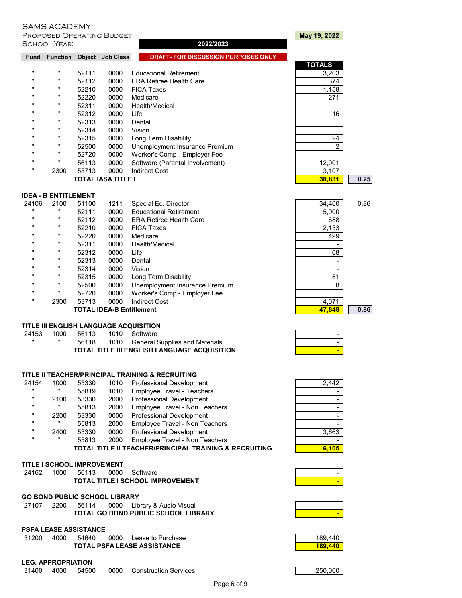**IDEA - B ENTITLEMENT**

**PROPOSED OPERATING BUDGET AND RESIDENT MAY 19, 2022** School Year: **2022/2023**

|      |       |      |                                 | <b>TOTALS</b>                                             |      |
|------|-------|------|---------------------------------|-----------------------------------------------------------|------|
|      | 52111 | 0000 | <b>Educational Retirement</b>   | 3,203                                                     |      |
|      | 52112 | 0000 | <b>ERA Retiree Health Care</b>  | 374                                                       |      |
|      | 52210 | 0000 | <b>FICA Taxes</b>               | 1,158                                                     |      |
|      | 52220 | 0000 | Medicare                        | 271                                                       |      |
|      | 52311 | 0000 | Health/Medical                  |                                                           |      |
|      | 52312 | 0000 | Life                            | 16                                                        |      |
|      | 52313 | 0000 | Dental                          |                                                           |      |
|      | 52314 | 0000 | Vision                          |                                                           |      |
|      | 52315 | 0000 | Long Term Disability            | 24                                                        |      |
|      | 52500 | 0000 | Unemployment Insurance Premium  | ົ                                                         |      |
|      | 52720 | 0000 |                                 |                                                           |      |
|      | 56113 | 0000 | Software (Parental Involvement) | 12,001                                                    |      |
| 2300 | 53713 | 0000 | <b>Indirect Cost</b>            | 3,107                                                     |      |
|      |       |      |                                 | 38.831                                                    | 0.25 |
|      |       |      |                                 | Worker's Comp - Employer Fee<br><b>TOTAL IASA TITLE I</b> |      |

**TITLE II TEACHER/PRINCIPAL TRAINING & RECRUITING** 24154 1000 53330 1010 Professional Development " 55819 1010 Employee Travel - Teachers<br>" 2100 53330 2000 Professional Development

**TITLE III ENGLISH LANGUAGE ACQUISITION** 24153 1000 56113 1010 Software -

56118 1010 General Supplies and Materials **TOTAL TITLE III ENGLISH LANGUAGE ACQUISITION** 

53330 2000 Professional Development

**TOTAL GO BOND PUBLIC SCHOOL LIBRARY** 

**TOTAL PSFA LEASE ASSISTANCE** 

**Fund Function Object Job Class DRAFT- FOR DISCUSSION PURPOSES ONLY** 

| <b>TOTALS</b>  |      |
|----------------|------|
| 3,203          |      |
| 374            |      |
| 1,158          |      |
| 271            |      |
|                |      |
| 16             |      |
|                |      |
|                |      |
| <u>24</u>      |      |
| $\overline{2}$ |      |
|                |      |
| 12,001         |      |
| 3,107          |      |
| 38,831         | 0.25 |
|                |      |

| 24106        | 2100         | 51100 | 1211 | Special Ed. Director            | 34,400 | 0.86 |
|--------------|--------------|-------|------|---------------------------------|--------|------|
|              | $\mathbf{u}$ | 52111 | 0000 | <b>Educational Retirement</b>   | 5.900  |      |
|              | $\mathbf{u}$ | 52112 | 0000 | <b>ERA Retiree Health Care</b>  | 688    |      |
| $\mathbf{u}$ |              | 52210 | 0000 | <b>FICA Taxes</b>               | 2,133  |      |
| $\mathbf{u}$ |              | 52220 | 0000 | Medicare                        | 499    |      |
| $\mathbf{u}$ |              | 52311 | 0000 | Health/Medical                  |        |      |
|              | $\mathbf{u}$ | 52312 | 0000 | Life                            | 68     |      |
|              |              | 52313 | 0000 | Dental                          |        |      |
| $\mathbf{u}$ |              | 52314 | 0000 | Vision                          |        |      |
|              |              | 52315 | 0000 | Long Term Disability            | 81     |      |
|              |              | 52500 | 0000 | Unemployment Insurance Premium  | 8      |      |
| $\mathbf{u}$ |              | 52720 | 0000 | Worker's Comp - Employer Fee    |        |      |
|              | 2300         | 53713 | 0000 | <b>Indirect Cost</b>            | 4,071  |      |
|              |              |       |      | <b>TOTAL IDEA-B Entitlement</b> | 47.848 | 0.86 |

| 2,442 |
|-------|
|       |
|       |
|       |
|       |
|       |
| 3,663 |
|       |
| 6.105 |

| ۰ |
|---|
|   |
|   |

| AIVIO AUADEIVI Y |                  |
|------------------|------------------|
|                  | ROPOSED OPERATIN |

| $\mathbf{u}$ |      | 55813 | 2000 | Employee Travel - Non Teachers                                    |
|--------------|------|-------|------|-------------------------------------------------------------------|
|              | 2200 | 53330 | 0000 | <b>Professional Development</b>                                   |
| $\mathbf{u}$ |      | 55813 | 2000 | Employee Travel - Non Teachers                                    |
|              | 2400 | 53330 | 0000 | <b>Professional Development</b>                                   |
| $\mathbf{u}$ |      | 55813 | 2000 | Employee Travel - Non Teachers                                    |
|              |      |       |      | <b>TOTAL TITLE II TEACHER/PRINCIPAL TRAINING &amp; RECRUITING</b> |
|              |      |       |      |                                                                   |

**GO BOND PUBLIC SCHOOL LIBRARY**

### **TITLE I SCHOOL IMPROVEMENT**

| 24162 | 1000 | 56113 | 0000 | Software                                |  |
|-------|------|-------|------|-----------------------------------------|--|
|       |      |       |      | <b>TOTAL TITLE I SCHOOL IMPROVEMENT</b> |  |

27107 2200 56114 0000 Library & Audio Visual -

| xч | 189,440 |
|----|---------|
|    |         |

# **LEG. APPROPRIATION**

**PSFA LEASE ASSISTANCE**

| ----------------- |      |       |      |                       |         |
|-------------------|------|-------|------|-----------------------|---------|
| 31400             | 4000 | 54500 | 0000 | Construction Services | 250.000 |
|                   |      |       |      |                       |         |

31200 4000 54640 0000 Lease to Purchase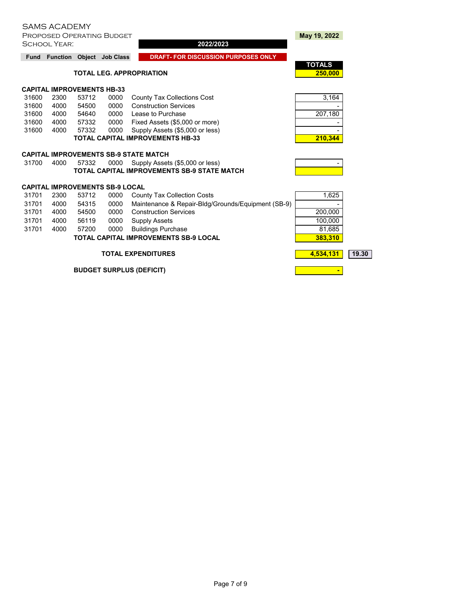| <b>Fund</b> | Function                          |       | <b>Object</b> Job Class                | <b>DRAFT- FOR DISCUSSION PURPOSES ONLY</b>         |                          |       |
|-------------|-----------------------------------|-------|----------------------------------------|----------------------------------------------------|--------------------------|-------|
|             |                                   |       |                                        | <b>TOTAL LEG. APPROPRIATION</b>                    | <b>TOTALS</b><br>250,000 |       |
|             |                                   |       |                                        |                                                    |                          |       |
|             | <b>CAPITAL IMPROVEMENTS HB-33</b> |       |                                        |                                                    |                          |       |
| 31600       | 2300                              | 53712 | 0000                                   | County Tax Collections Cost                        | 3,164                    |       |
| 31600       | 4000                              | 54500 | 0000                                   | <b>Construction Services</b>                       |                          |       |
| 31600       | 4000                              | 54640 | 0000                                   | Lease to Purchase                                  | 207,180                  |       |
| 31600       | 4000                              | 57332 | 0000                                   | Fixed Assets (\$5,000 or more)                     |                          |       |
| 31600       | 4000                              | 57332 | 0000                                   | Supply Assets (\$5,000 or less)                    |                          |       |
|             |                                   |       |                                        | <b>TOTAL CAPITAL IMPROVEMENTS HB-33</b>            | 210,344                  |       |
|             |                                   |       |                                        | CAPITAL IMPROVEMENTS SB-9 STATE MATCH              |                          |       |
| 31700       | 4000                              | 57332 | 0000                                   | Supply Assets (\$5,000 or less)                    |                          |       |
|             |                                   |       |                                        | <b>TOTAL CAPITAL IMPROVEMENTS SB-9 STATE MATCH</b> |                          |       |
|             |                                   |       | <b>CAPITAL IMPROVEMENTS SB-9 LOCAL</b> |                                                    |                          |       |
| 31701       | 2300                              | 53712 | 0000                                   | <b>County Tax Collection Costs</b>                 | 1,625                    |       |
| 31701       | 4000                              | 54315 | 0000                                   | Maintenance & Repair-Bldg/Grounds/Equipment (SB-9) |                          |       |
| 31701       | 4000                              | 54500 | 0000                                   | <b>Construction Services</b>                       | 200,000                  |       |
| 31701       | 4000                              | 56119 | 0000                                   | <b>Supply Assets</b>                               | 100,000                  |       |
| 31701       | 4000                              | 57200 | 0000                                   | <b>Buildings Purchase</b>                          | 81,685                   |       |
|             |                                   |       |                                        | <b>TOTAL CAPITAL IMPROVEMENTS SB-9 LOCAL</b>       | 383,310                  |       |
|             |                                   |       |                                        | <b>TOTAL EXPENDITURES</b>                          | 4,534,131                | 19.30 |

**BUDGET SURPLUS (DEFICIT)** and the set of the set of the set of the set of the set of the set of the set of the set of the set of the set of the set of the set of the set of the set of the set of the set of the set of the

| 3,164   |
|---------|
|         |
| 207,180 |
|         |
|         |
| 210.344 |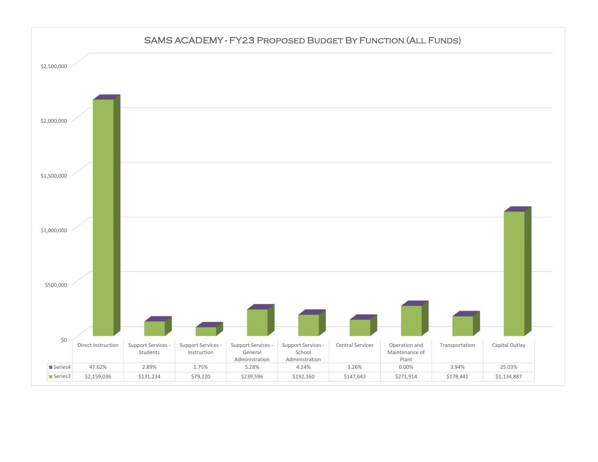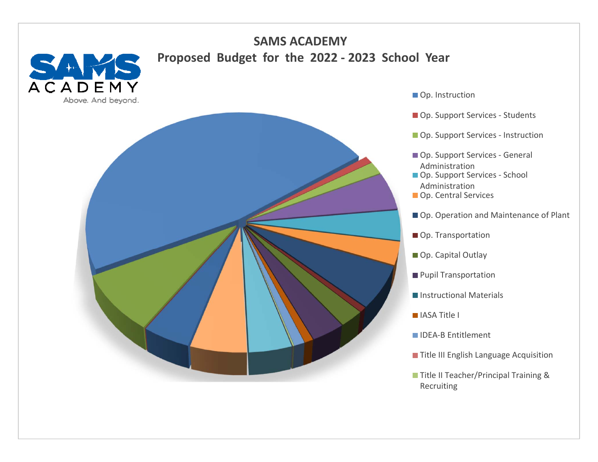